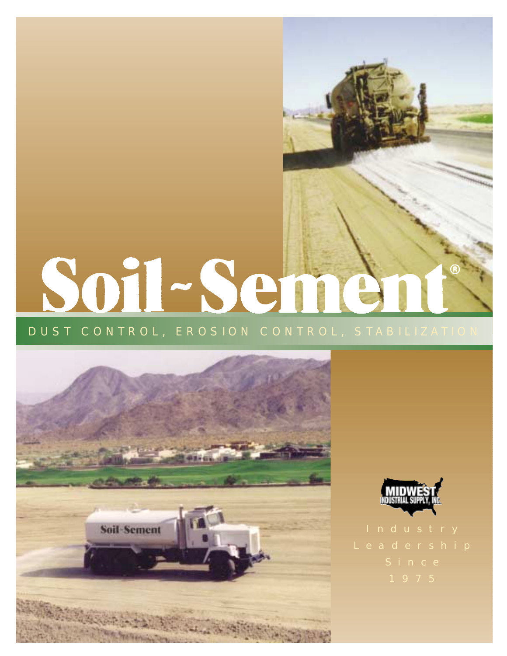# Soil-Seme



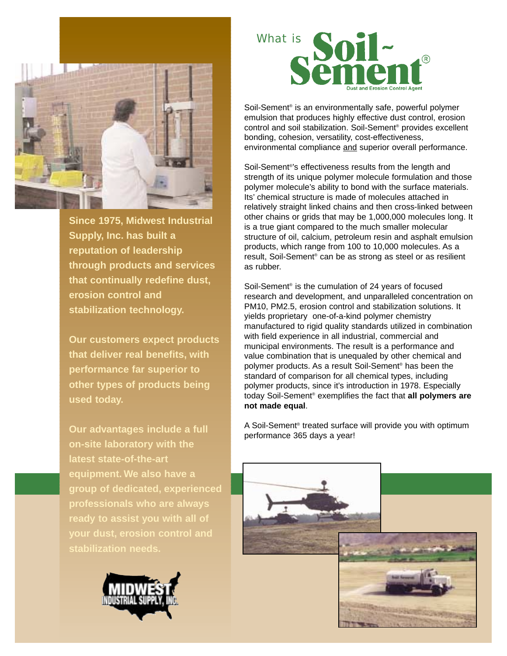

**Since 1975, Midwest Industrial Supply, Inc. has built a reputation of leadership through products and services that continually redefine dust, erosion control and stabilization technology.**

**Our customers expect products that deliver real benefits, with performance far superior to other types of products being used today.**

**Our advantages include a full on-site laboratory with the latest state-of-the-art equipment. We also have a group of dedicated, experienced professionals who are always ready to assist you with all of your dust, erosion control and stabilization needs.**





Soil-Sement® is an environmentally safe, powerful polymer emulsion that produces highly effective dust control, erosion control and soil stabilization. Soil-Sement® provides excellent bonding, cohesion, versatility, cost-effectiveness, environmental compliance and superior overall performance.

Soil-Sement®'s effectiveness results from the length and strength of its unique polymer molecule formulation and those polymer molecule's ability to bond with the surface materials. Its' chemical structure is made of molecules attached in relatively straight linked chains and then cross-linked between other chains or grids that may be 1,000,000 molecules long. It is a true giant compared to the much smaller molecular structure of oil, calcium, petroleum resin and asphalt emulsion products, which range from 100 to 10,000 molecules. As a result, Soil-Sement® can be as strong as steel or as resilient as rubber.

Soil-Sement® is the cumulation of 24 years of focused research and development, and unparalleled concentration on PM10, PM2.5, erosion control and stabilization solutions. It yields proprietary one-of-a-kind polymer chemistry manufactured to rigid quality standards utilized in combination with field experience in all industrial, commercial and municipal environments. The result is a performance and value combination that is unequaled by other chemical and polymer products. As a result Soil-Sement® has been the standard of comparison for all chemical types, including polymer products, since it's introduction in 1978. Especially today Soil-Sement® exemplifies the fact that **all polymers are not made equal**.

A Soil-Sement® treated surface will provide you with optimum performance 365 days a year!

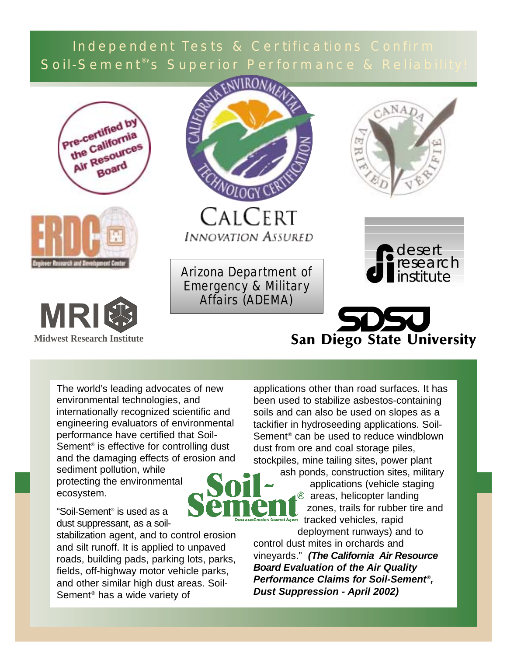# Independent Tests & Certifications Confirm Soil-Sement<sup>®</sup>'s Superior Performance & Reliability!









CALCERT **INNOVATION ASSURED** 

Arizona Department of Emergency & Military Affairs (ADEMA)





# San Diego State University

The world's leading advocates of new environmental technologies, and internationally recognized scientific and engineering evaluators of environmental performance have certified that Soil-Sement<sup>®</sup> is effective for controlling dust and the damaging effects of erosion and sediment pollution, while

protecting the environmental ecosystem.

"Soil-Sement® is used as a dust suppressant, as a soil-

stabilization agent, and to control erosion and silt runoff. It is applied to unpaved roads, building pads, parking lots, parks, fields, off-highway motor vehicle parks, and other similar high dust areas. Soil-Sement® has a wide variety of

applications other than road surfaces. It has been used to stabilize asbestos-containing soils and can also be used on slopes as a tackifier in hydroseeding applications. Soil-Sement® can be used to reduce windblown dust from ore and coal storage piles, stockpiles, mine tailing sites, power plant



ash ponds, construction sites, military applications (vehicle staging <sup>®</sup> areas, helicopter landing zones, trails for rubber tire and trol Agent tracked vehicles, rapid

deployment runways) and to control dust mites in orchards and vineyards." **(The California Air Resource Board Evaluation of the Air Quality Performance Claims for Soil-Sement®, Dust Suppression - April 2002)**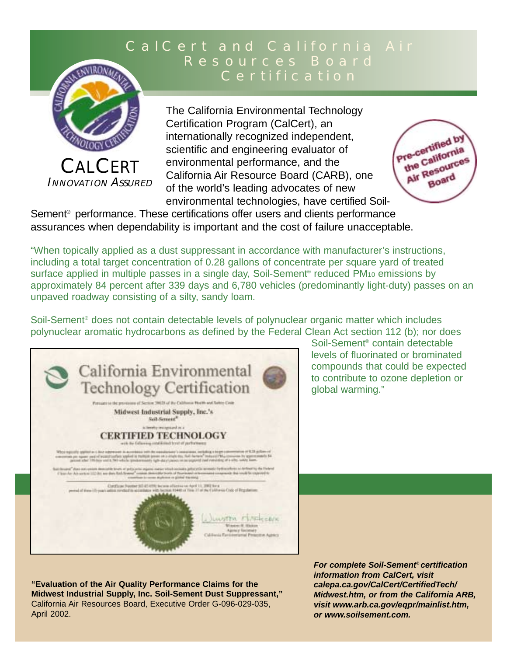# CalCert and California Air Resources Board Certification



INNOVATION ASSURED

The California Environmental Technology Certification Program (CalCert), an internationally recognized independent, scientific and engineering evaluator of environmental performance, and the California Air Resource Board (CARB), one of the world's leading advocates of new environmental technologies, have certified Soil-



Sement<sup>®</sup> performance. These certifications offer users and clients performance assurances when dependability is important and the cost of failure unacceptable.

"When topically applied as a dust suppressant in accordance with manufacturer's instructions, including a total target concentration of 0.28 gallons of concentrate per square yard of treated surface applied in multiple passes in a single day, Soil-Sement<sup>®</sup> reduced PM<sub>10</sub> emissions by approximately 84 percent after 339 days and 6,780 vehicles (predominantly light-duty) passes on an unpaved roadway consisting of a silty, sandy loam.

Soil-Sement® does not contain detectable levels of polynuclear organic matter which includes polynuclear aromatic hydrocarbons as defined by the Federal Clean Act section 112 (b); nor does



Soil-Sement® contain detectable levels of fluorinated or brominated compounds that could be expected to contribute to ozone depletion or global warming."

**"Evaluation of the Air Quality Performance Claims for the Midwest Industrial Supply, Inc. Soil-Sement Dust Suppressant,"** California Air Resources Board, Executive Order G-096-029-035, April 2002.

**For complete Soil-Sement® certification information from CalCert, visit calepa.ca.gov/CalCert/CertifiedTech/ Midwest.htm, or from the California ARB, visit www.arb.ca.gov/eqpr/mainlist.htm, or www.soilsement.com.**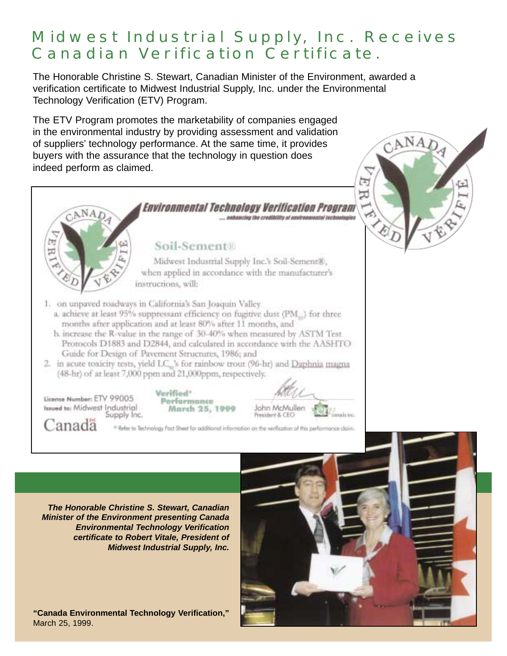# Midwest Industrial Supply, Inc. Receives Canadian Verification Certificate.

The Honorable Christine S. Stewart, Canadian Minister of the Environment, awarded a verification certificate to Midwest Industrial Supply, Inc. under the Environmental Technology Verification (ETV) Program.

The ETV Program promotes the marketability of companies engaged in the environmental industry by providing assessment and validation of suppliers' technology performance. At the same time, it provides buyers with the assurance that the technology in question does indeed perform as claimed.



CANAD

**The Honorable Christine S. Stewart, Canadian Minister of the Environment presenting Canada Environmental Technology Verification certificate to Robert Vitale, President of Midwest Industrial Supply, Inc.**

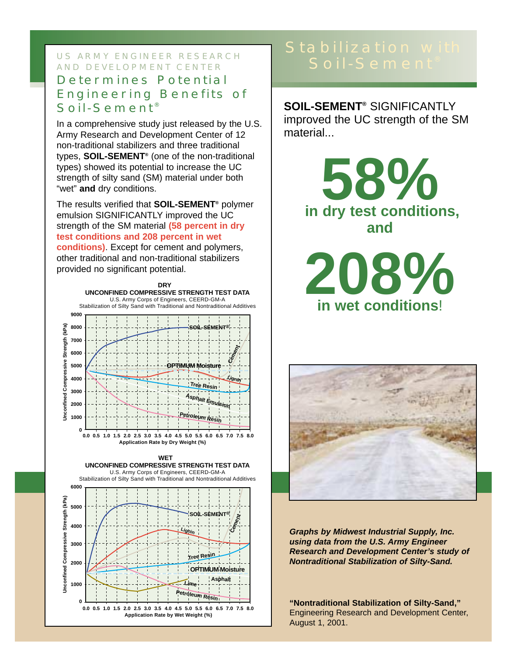#### US ARMY ENGINEER RESEARCH SOIL-Sement AND DEVELOPMENT CENTER

#### Determines Potential Engineering Benefits of Soil-Sement<sup>®</sup>

In a comprehensive study just released by the U.S. Army Research and Development Center of 12 non-traditional stabilizers and three traditional types, **SOIL-SEMENT®** (one of the non-traditional types) showed its potential to increase the UC strength of silty sand (SM) material under both "wet" **and** dry conditions.

The results verified that **SOIL-SEMENT®** polymer emulsion SIGNIFICANTLY improved the UC strength of the SM material **(58 percent in dry test conditions and 208 percent in wet conditions)**. Except for cement and polymers, other traditional and non-traditional stabilizers provided no significant potential.



**SOIL-SEMENT®** SIGNIFICANTLY improved the UC strength of the SM material...

> **in dry test conditions, 58% and**

**208% in wet conditions**!



**Graphs by Midwest Industrial Supply, Inc. using data from the U.S. Army Engineer Research and Development Center's study of Nontraditional Stabilization of Silty-Sand.**

**"Nontraditional Stabilization of Silty-Sand,"** Engineering Research and Development Center, August 1, 2001.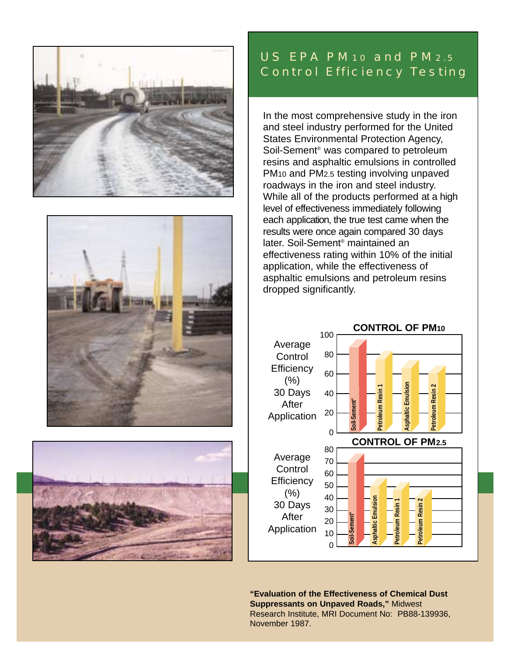





## US EPA PM10 and PM2.5 Control Efficiency Testing

In the most comprehensive study in the iron and steel industry performed for the United States Environmental Protection Agency, Soil-Sement® was compared to petroleum resins and asphaltic emulsions in controlled PM10 and PM2.5 testing involving unpaved roadways in the iron and steel industry. While all of the products performed at a high level of effectiveness immediately following each application, the true test came when the results were once again compared 30 days later. Soil-Sement® maintained an effectiveness rating within 10% of the initial application, while the effectiveness of asphaltic emulsions and petroleum resins dropped significantly.



**"Evaluation of the Effectiveness of Chemical Dust Suppressants on Unpaved Roads,"** Midwest Research Institute, MRI Document No: PB88-139936, November 1987.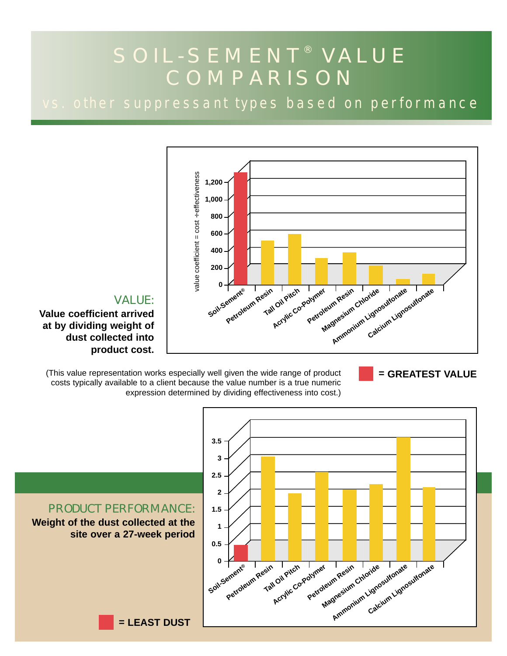# SOIL-SEMENT® VALUE COMPARISON

vs. other suppressant types based on performance



#### VALUE:

**Value coefficient arrived at by dividing weight of dust collected into product cost.**

(This value representation works especially well given the wide range of product costs typically available to a client because the value number is a true numeric expression determined by dividing effectiveness into cost.)



**= GREATEST VALUE**

#### PRODUCT PERFORMANCE: **Weight of the dust collected at the site over a 27-week period**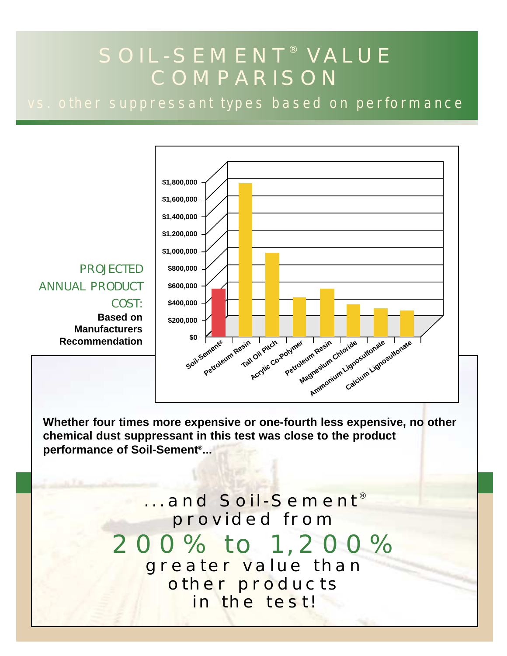# SOIL-SEMENT® VALUE COMPARISON

vs. other suppressant types based on performance



**Whether four times more expensive or one-fourth less expensive, no other chemical dust suppressant in this test was close to the product performance of Soil-Sement®...**

> ...and Soil-Sement® provided from 200% to 1,200% greater value than other products in the test!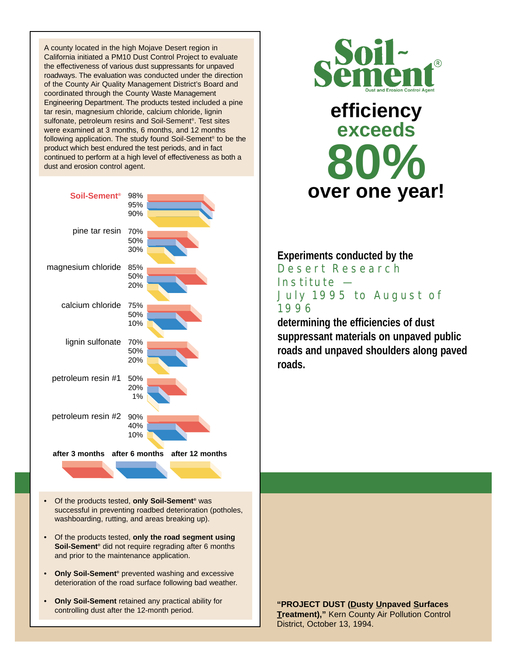A county located in the high Mojave Desert region in California initiated a PM10 Dust Control Project to evaluate the effectiveness of various dust suppressants for unpaved roadways. The evaluation was conducted under the direction of the County Air Quality Management District's Board and coordinated through the County Waste Management Engineering Department. The products tested included a pine tar resin, magnesium chloride, calcium chloride, lignin sulfonate, petroleum resins and Soil-Sement®. Test sites were examined at 3 months, 6 months, and 12 months following application. The study found Soil-Sement® to be the product which best endured the test periods, and in fact continued to perform at a high level of effectiveness as both a dust and erosion control agent.



- Of the products tested, **only Soil-Sement®** was successful in preventing roadbed deterioration (potholes, washboarding, rutting, and areas breaking up).
- Of the products tested, **only the road segment using Soil-Sement®** did not require regrading after 6 months and prior to the maintenance application.
- **Only Soil-Sement®** prevented washing and excessive deterioration of the road surface following bad weather.
- **Only Soil-Sement** retained any practical ability for controlling dust after the 12-month period.





#### **Experiments conducted by the**

Desert Research Institute — July 1995 to August of 1996

**determining the efficiencies of dust suppressant materials on unpaved public roads and unpaved shoulders along paved roads.**

**"PROJECT DUST (Dusty Unpaved Surfaces Treatment),"** Kern County Air Pollution Control District, October 13, 1994.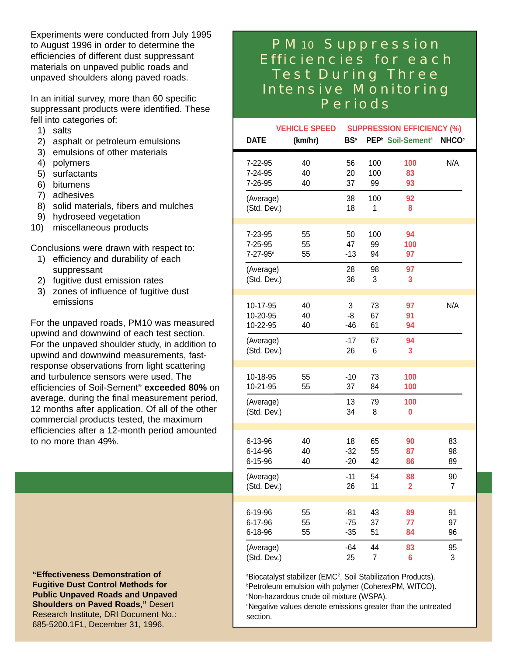Experiments were conducted from July 1995 to August 1996 in order to determine the efficiencies of different dust suppressant materials on unpaved public roads and unpaved shoulders along paved roads.

In an initial survey, more than 60 specific suppressant products were identified. These fell into categories of:

- 1) salts
- 2) asphalt or petroleum emulsions
- 3) emulsions of other materials
- 4) polymers
- 5) surfactants
- 6) bitumens
- 7) adhesives
- 8) solid materials, fibers and mulches
- 9) hydroseed vegetation
- 10) miscellaneous products

Conclusions were drawn with respect to:

- 1) efficiency and durability of each suppressant
- 2) fugitive dust emission rates
- 3) zones of influence of fugitive dust emissions

For the unpaved roads, PM10 was measured upwind and downwind of each test section. For the unpaved shoulder study, in addition to upwind and downwind measurements, fastresponse observations from light scattering and turbulence sensors were used. The efficiencies of Soil-Sement® **exceeded 80%** on average, during the final measurement period, 12 months after application. Of all of the other commercial products tested, the maximum efficiencies after a 12-month period amounted to no more than 49%.

**"Effectiveness Demonstration of Fugitive Dust Control Methods for Public Unpaved Roads and Unpaved Shoulders on Paved Roads,"** Desert Research Institute, DRI Document No.: 685-5200.1F1, December 31, 1996.

## PM10 Suppression Efficiencies for each Test During Three Intensive Monitoring Periods

| <b>VEHICLE SPEED</b>     |         | <b>SUPPRESSION EFFICIENCY (%)</b> |                |                                           |                         |
|--------------------------|---------|-----------------------------------|----------------|-------------------------------------------|-------------------------|
| <b>DATE</b>              | (km/hr) | BS <sup>a</sup>                   |                | PEP <sup>b</sup> Soil-Sement <sup>®</sup> | <b>NHCO<sup>c</sup></b> |
| 7-22-95                  | 40      | 56                                | 100            | 100                                       | N/A                     |
| 7-24-95                  | 40      | 20                                | 100            | 83                                        |                         |
| 7-26-95                  | 40      | 37                                | 99             | 93                                        |                         |
| (Average)<br>(Std. Dev.) |         | 38<br>18                          | 100<br>1       | 92<br>8                                   |                         |
| 7-23-95                  | 55      | 50                                | 100            | 94                                        |                         |
| 7-25-95                  | 55      | 47                                | 99             | 100                                       |                         |
| 7-27-95 <sup>d</sup>     | 55      | $-13$                             | 94             | 97                                        |                         |
| (Average)<br>(Std. Dev.) |         | 28<br>36                          | 98<br>3        | 97<br>3                                   |                         |
| 10-17-95                 | 40      | 3                                 | 73             | 97                                        | N/A                     |
| 10-20-95                 | 40      | -8                                | 67             | 91                                        |                         |
| 10-22-95                 | 40      | $-46$                             | 61             | 94                                        |                         |
| (Average)<br>(Std. Dev.) |         | $-17$<br>26                       | 67<br>6        | 94<br>3                                   |                         |
| 10-18-95                 | 55      | $-10$                             | 73             | 100                                       |                         |
| 10-21-95                 | 55      | 37                                | 84             | 100                                       |                         |
| (Average)<br>(Std. Dev.) |         | 13<br>34                          | 79<br>8        | 100<br>0                                  |                         |
| 6-13-96                  | 40      | 18                                | 65             | 90                                        | 83                      |
| 6-14-96                  | 40      | $-32$                             | 55             | 87                                        | 98                      |
| 6-15-96                  | 40      | $-20$                             | 42             | 86                                        | 89                      |
| (Average)                |         | $-11$                             | 54             | 88                                        | 90                      |
| (Std. Dev.)              |         | 26                                | 11             | $\overline{\mathbf{2}}$                   | 7                       |
| 6-19-96                  | 55      | $-81$                             | 43             | 89                                        | 91                      |
| 6-17-96                  | 55      | $-75$                             | 37             | 77                                        | 97                      |
| 6-18-96                  | 55      | $-35$                             | 51             | 84                                        | 96                      |
| (Average)                |         | $-64$                             | 44             | 83                                        | 95                      |
| (Std. Dev.)              |         | 25                                | $\overline{7}$ | 6                                         | 3                       |

<sup>a</sup>Biocatalyst stabilizer (EMC<sup>2</sup>, Soil Stabilization Products). b Petroleum emulsion with polymer (CoherexPM, WITCO). c Non-hazardous crude oil mixture (WSPA).

<sup>ª</sup>Negative values denote emissions greater than the untreated section.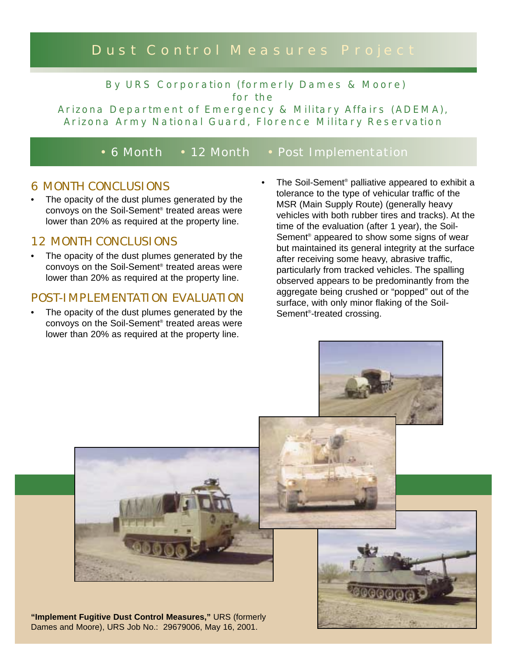# Dust Control Measures Project

By URS Corporation (formerly Dames & Moore) for the

Arizona Department of Emergency & Military Affairs (ADEMA), Arizona Army National Guard, Florence Military Reservation

• 6 Month • 12 Month • Post Implementation

#### 6 MONTH CONCLUSIONS

The opacity of the dust plumes generated by the convoys on the Soil-Sement® treated areas were lower than 20% as required at the property line.

#### 12 MONTH CONCLUSIONS

The opacity of the dust plumes generated by the convoys on the Soil-Sement® treated areas were lower than 20% as required at the property line.

#### POST-IMPLEMENTATION EVALUATION

- The opacity of the dust plumes generated by the convoys on the Soil-Sement® treated areas were lower than 20% as required at the property line.
- The Soil-Sement<sup>®</sup> palliative appeared to exhibit a tolerance to the type of vehicular traffic of the MSR (Main Supply Route) (generally heavy vehicles with both rubber tires and tracks). At the time of the evaluation (after 1 year), the Soil-Sement® appeared to show some signs of wear but maintained its general integrity at the surface after receiving some heavy, abrasive traffic, particularly from tracked vehicles. The spalling observed appears to be predominantly from the aggregate being crushed or "popped" out of the surface, with only minor flaking of the Soil-Sement®-treated crossing.



**"Implement Fugitive Dust Control Measures,"** URS (formerly Dames and Moore), URS Job No.: 29679006, May 16, 2001.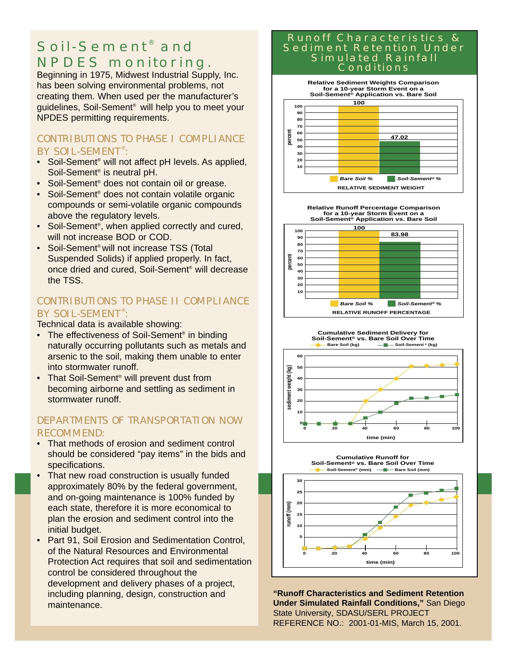# Soil-Sement<sup>®</sup> and NPDES monitoring.

Beginning in 1975, Midwest Industrial Supply, Inc. has been solving environmental problems, not creating them. When used per the manufacturer's guidelines, Soil-Sement® will help you to meet your NPDES permitting requirements.

#### CONTRIBUTIONS TO PHASE I COMPLIANCE BY SOIL-SEMENT<sup>®</sup>:

- Soil-Sement<sup>®</sup> will not affect pH levels. As applied, Soil-Sement® is neutral pH.
- Soil-Sement<sup>®</sup> does not contain oil or grease.
- Soil-Sement<sup>®</sup> does not contain volatile organic compounds or semi-volatile organic compounds above the regulatory levels.
- Soil-Sement<sup>®</sup>, when applied correctly and cured, will not increase BOD or COD.
- Soil-Sement<sup>®</sup> will not increase TSS (Total Suspended Solids) if applied properly. In fact, once dried and cured, Soil-Sement® will decrease the TSS.

#### CONTRIBUTIONS TO PHASE II COMPLIANCE BY SOIL-SEMENT<sup>®</sup>:

Technical data is available showing:

- The effectiveness of Soil-Sement<sup>®</sup> in binding naturally occurring pollutants such as metals and arsenic to the soil, making them unable to enter into stormwater runoff.
- That Soil-Sement<sup>®</sup> will prevent dust from becoming airborne and settling as sediment in stormwater runoff.

#### DEPARTMENTS OF TRANSPORTATION NOW RECOMMEND:

- That methods of erosion and sediment control should be considered "pay items" in the bids and specifications.
- That new road construction is usually funded approximately 80% by the federal government, and on-going maintenance is 100% funded by each state, therefore it is more economical to plan the erosion and sediment control into the initial budget.
- Part 91, Soil Erosion and Sedimentation Control, of the Natural Resources and Environmental Protection Act requires that soil and sedimentation control be considered throughout the development and delivery phases of a project, including planning, design, construction and maintenance.

#### Runoff Characteristics & Sediment Retention Under Simulated Rainfall Conditions



**Relative Runoff Percentage Comparison for a 10-year Storm Event on a Soil-Sement® Application vs. Bare Soil**







**"Runoff Characteristics and Sediment Retention Under Simulated Rainfall Conditions,"** San Diego State University, SDASU/SERL PROJECT REFERENCE NO.: 2001-01-MIS, March 15, 2001.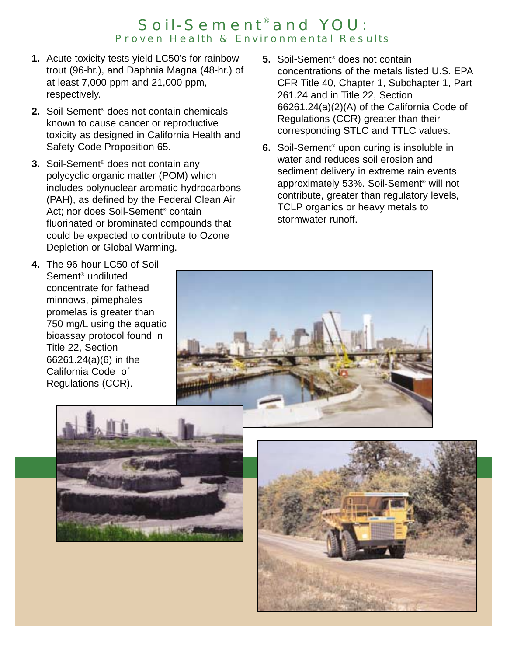#### Soil-Sement® and YOU: Proven Health & Environmental Results

- **1.** Acute toxicity tests yield LC50's for rainbow trout (96-hr.), and Daphnia Magna (48-hr.) of at least 7,000 ppm and 21,000 ppm, respectively.
- **2.** Soil-Sement® does not contain chemicals known to cause cancer or reproductive toxicity as designed in California Health and Safety Code Proposition 65.
- **3.** Soil-Sement® does not contain any polycyclic organic matter (POM) which includes polynuclear aromatic hydrocarbons (PAH), as defined by the Federal Clean Air Act; nor does Soil-Sement® contain fluorinated or brominated compounds that could be expected to contribute to Ozone Depletion or Global Warming.
- **5.** Soil-Sement® does not contain concentrations of the metals listed U.S. EPA CFR Title 40, Chapter 1, Subchapter 1, Part 261.24 and in Title 22, Section 66261.24(a)(2)(A) of the California Code of Regulations (CCR) greater than their corresponding STLC and TTLC values.
- **6.** Soil-Sement® upon curing is insoluble in water and reduces soil erosion and sediment delivery in extreme rain events approximately 53%. Soil-Sement® will not contribute, greater than regulatory levels, TCLP organics or heavy metals to stormwater runoff.

**4.** The 96-hour LC50 of Soil-Sement® undiluted concentrate for fathead minnows, pimephales promelas is greater than 750 mg/L using the aquatic bioassay protocol found in Title 22, Section 66261.24(a)(6) in the California Code of Regulations (CCR).





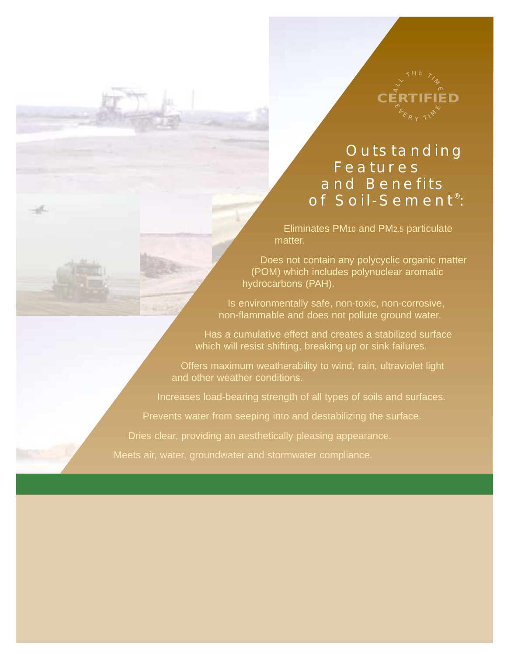

# **Outstanding Features** and Benefits of Soil-Sement® :

Eliminates PM10 and PM2.5 particulate matter.

Does not contain any polycyclic organic matter (POM) which includes polynuclear aromatic hydrocarbons (PAH).

Is environmentally safe, non-toxic, non-corrosive, non-flammable and does not pollute ground water.

Has a cumulative effect and creates a stabilized surface which will resist shifting, breaking up or sink failures.

Offers maximum weatherability to wind, rain, ultraviolet light and other weather conditions.

Increases load-bearing strength of all types of soils and surfaces.

Prevents water from seeping into and destabilizing the surface.

Dries clear, providing an aesthetically pleasing appearance.

Meets air, water, groundwater and stormwater compliance.